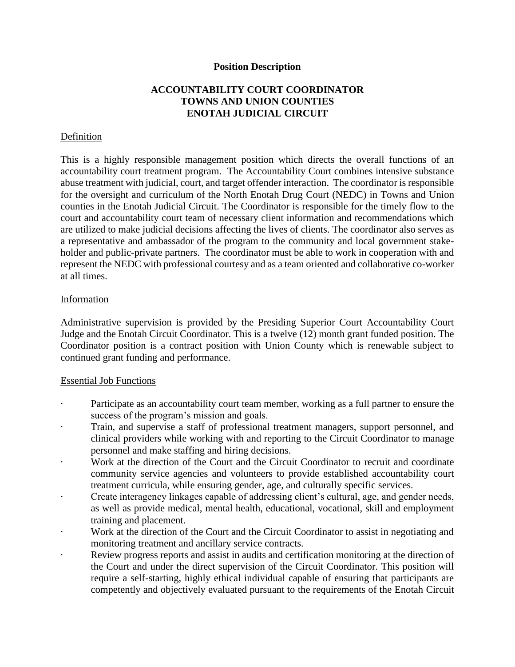### **Position Description**

# **ACCOUNTABILITY COURT COORDINATOR TOWNS AND UNION COUNTIES ENOTAH JUDICIAL CIRCUIT**

## Definition

This is a highly responsible management position which directs the overall functions of an accountability court treatment program. The Accountability Court combines intensive substance abuse treatment with judicial, court, and target offender interaction. The coordinator is responsible for the oversight and curriculum of the North Enotah Drug Court (NEDC) in Towns and Union counties in the Enotah Judicial Circuit. The Coordinator is responsible for the timely flow to the court and accountability court team of necessary client information and recommendations which are utilized to make judicial decisions affecting the lives of clients. The coordinator also serves as a representative and ambassador of the program to the community and local government stakeholder and public-private partners. The coordinator must be able to work in cooperation with and represent the NEDC with professional courtesy and as a team oriented and collaborative co-worker at all times.

### Information

Administrative supervision is provided by the Presiding Superior Court Accountability Court Judge and the Enotah Circuit Coordinator. This is a twelve (12) month grant funded position. The Coordinator position is a contract position with Union County which is renewable subject to continued grant funding and performance.

#### Essential Job Functions

- Participate as an accountability court team member, working as a full partner to ensure the success of the program's mission and goals.
- Train, and supervise a staff of professional treatment managers, support personnel, and clinical providers while working with and reporting to the Circuit Coordinator to manage personnel and make staffing and hiring decisions.
- Work at the direction of the Court and the Circuit Coordinator to recruit and coordinate community service agencies and volunteers to provide established accountability court treatment curricula, while ensuring gender, age, and culturally specific services.
- Create interagency linkages capable of addressing client's cultural, age, and gender needs, as well as provide medical, mental health, educational, vocational, skill and employment training and placement.
- Work at the direction of the Court and the Circuit Coordinator to assist in negotiating and monitoring treatment and ancillary service contracts.
- Review progress reports and assist in audits and certification monitoring at the direction of the Court and under the direct supervision of the Circuit Coordinator. This position will require a self-starting, highly ethical individual capable of ensuring that participants are competently and objectively evaluated pursuant to the requirements of the Enotah Circuit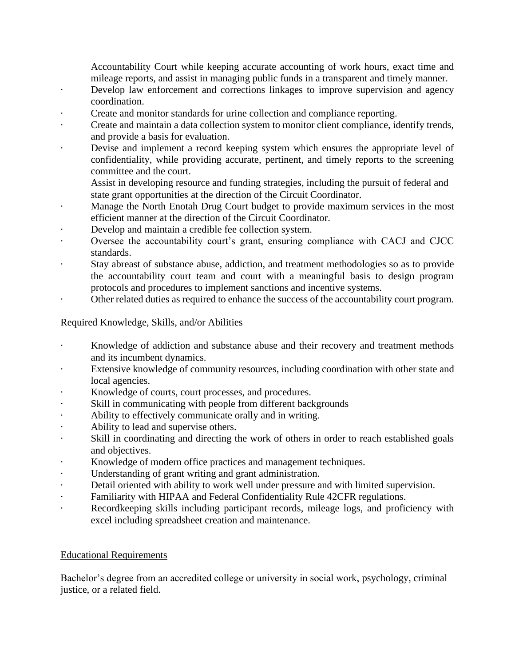Accountability Court while keeping accurate accounting of work hours, exact time and mileage reports, and assist in managing public funds in a transparent and timely manner.

- · Develop law enforcement and corrections linkages to improve supervision and agency coordination.
- Create and monitor standards for urine collection and compliance reporting.
- Create and maintain a data collection system to monitor client compliance, identify trends, and provide a basis for evaluation.
- Devise and implement a record keeping system which ensures the appropriate level of confidentiality, while providing accurate, pertinent, and timely reports to the screening committee and the court.
	- Assist in developing resource and funding strategies, including the pursuit of federal and state grant opportunities at the direction of the Circuit Coordinator.
- · Manage the North Enotah Drug Court budget to provide maximum services in the most efficient manner at the direction of the Circuit Coordinator.
- Develop and maintain a credible fee collection system.
- Oversee the accountability court's grant, ensuring compliance with CACJ and CJCC standards.
- Stay abreast of substance abuse, addiction, and treatment methodologies so as to provide the accountability court team and court with a meaningful basis to design program protocols and procedures to implement sanctions and incentive systems.
- · Other related duties as required to enhance the success of the accountability court program.

# Required Knowledge, Skills, and/or Abilities

- Knowledge of addiction and substance abuse and their recovery and treatment methods and its incumbent dynamics.
- Extensive knowledge of community resources, including coordination with other state and local agencies.
- Knowledge of courts, court processes, and procedures.
- Skill in communicating with people from different backgrounds
- · Ability to effectively communicate orally and in writing.
- Ability to lead and supervise others.
- · Skill in coordinating and directing the work of others in order to reach established goals and objectives.
- Knowledge of modern office practices and management techniques.
- Understanding of grant writing and grant administration.
- Detail oriented with ability to work well under pressure and with limited supervision.
- Familiarity with HIPAA and Federal Confidentiality Rule 42CFR regulations.
- Recordkeeping skills including participant records, mileage logs, and proficiency with excel including spreadsheet creation and maintenance.

# Educational Requirements

Bachelor's degree from an accredited college or university in social work, psychology, criminal justice, or a related field.